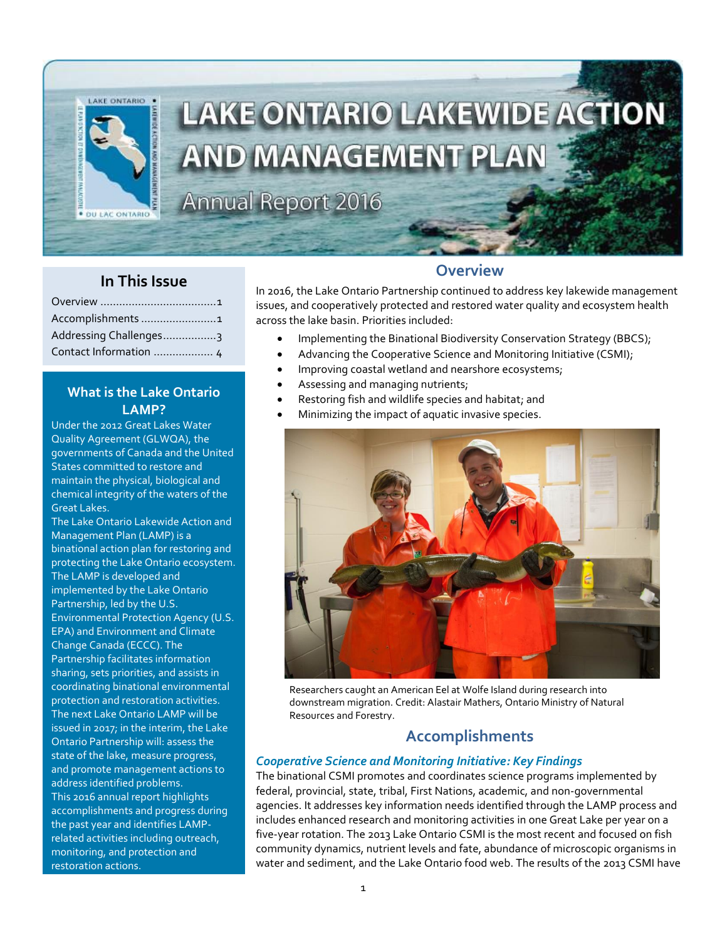

### **In This Issue**

| Accomplishments 1      |
|------------------------|
| Addressing Challenges3 |
| Contact Information  4 |

### **What is the Lake Ontario LAMP?**

Under the 2012 Great Lakes Water Quality Agreement (GLWQA), the governments of Canada and the United States committed to restore and maintain the physical, biological and chemical integrity of the waters of the Great Lakes.

The Lake Ontario Lakewide Action and Management Plan (LAMP) is a binational action plan for restoring and protecting the Lake Ontario ecosystem. The LAMP is developed and implemented by the Lake Ontario Partnership, led by the U.S. Environmental Protection Agency (U.S. EPA) and Environment and Climate Change Canada (ECCC). The Partnership facilitates information sharing, sets priorities, and assists in coordinating binational environmental protection and restoration activities. The next Lake Ontario LAMP will be issued in 2017; in the interim, the Lake Ontario Partnership will: assess the state of the lake, measure progress, and promote management actions to address identified problems. This 2016 annual report highlights accomplishments and progress during the past year and identifies LAMPrelated activities including outreach, monitoring, and protection and restoration actions.

### **Overview**

In 2016, the Lake Ontario Partnership continued to address key lakewide management issues, and cooperatively protected and restored water quality and ecosystem health across the lake basin. Priorities included:

- Implementing the Binational Biodiversity Conservation Strategy (BBCS);
- Advancing the Cooperative Science and Monitoring Initiative (CSMI);
- Improving coastal wetland and nearshore ecosystems;
- Assessing and managing nutrients;
- Restoring fish and wildlife species and habitat; and
- Minimizing the impact of aquatic invasive species.



Researchers caught an American Eel at Wolfe Island during research into downstream migration. Credit: Alastair Mathers, Ontario Ministry of Natural Resources and Forestry.

# **Accomplishments**

### *Cooperative Science and Monitoring Initiative: Key Findings*

The binational CSMI promotes and coordinates science programs implemented by federal, provincial, state, tribal, First Nations, academic, and non-governmental agencies. It addresses key information needs identified through the LAMP process and includes enhanced research and monitoring activities in one Great Lake per year on a five-year rotation. The 2013 Lake Ontario CSMI is the most recent and focused on fish community dynamics, nutrient levels and fate, abundance of microscopic organisms in water and sediment, and the Lake Ontario food web. The results of the 2013 CSMI have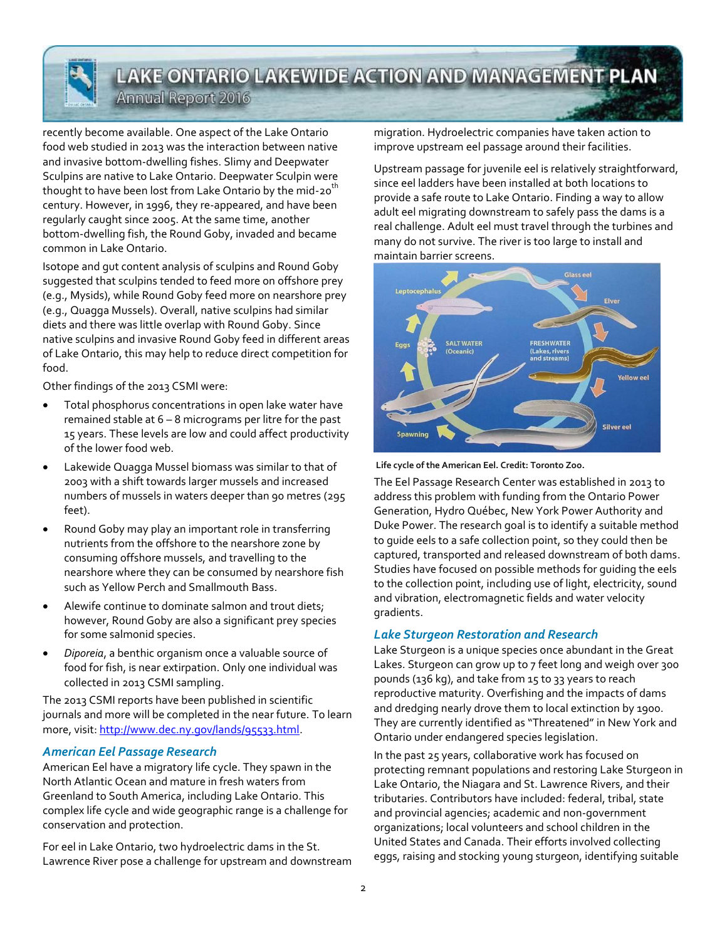# **LAKE ONTARIO LAKEWIDE ACTION AND MANAGEMENT PLAN**

Annual Report 2016

recently become available. One aspect of the Lake Ontario food web studied in 2013 was the interaction between native and invasive bottom-dwelling fishes. Slimy and Deepwater Sculpins are native to Lake Ontario. Deepwater Sculpin were thought to have been lost from Lake Ontario by the mid-20<sup>th</sup> century. However, in 1996, they re-appeared, and have been regularly caught since 2005. At the same time, another bottom-dwelling fish, the Round Goby, invaded and became common in Lake Ontario.

Isotope and gut content analysis of sculpins and Round Goby suggested that sculpins tended to feed more on offshore prey (e.g., Mysids), while Round Goby feed more on nearshore prey (e.g., Quagga Mussels). Overall, native sculpins had similar diets and there was little overlap with Round Goby. Since native sculpins and invasive Round Goby feed in different areas of Lake Ontario, this may help to reduce direct competition for food.

Other findings of the 2013 CSMI were:

- Total phosphorus concentrations in open lake water have remained stable at 6 – 8 micrograms per litre for the past 15 years. These levels are low and could affect productivity of the lower food web.
- Lakewide Quagga Mussel biomass was similar to that of 2003 with a shift towards larger mussels and increased numbers of mussels in waters deeper than 90 metres (295 feet).
- Round Goby may play an important role in transferring nutrients from the offshore to the nearshore zone by consuming offshore mussels, and travelling to the nearshore where they can be consumed by nearshore fish such as Yellow Perch and Smallmouth Bass.
- Alewife continue to dominate salmon and trout diets; however, Round Goby are also a significant prey species for some salmonid species.
- *Diporeia*, a benthic organism once a valuable source of food for fish, is near extirpation. Only one individual was collected in 2013 CSMI sampling.

The 2013 CSMI reports have been published in scientific journals and more will be completed in the near future. To learn more, visit: [http://www.dec.ny.gov/lands/95533.html.](http://www.dec.ny.gov/lands/95533.html)

#### *American Eel Passage Research*

American Eel have a migratory life cycle. They spawn in the North Atlantic Ocean and mature in fresh waters from Greenland to South America, including Lake Ontario. This complex life cycle and wide geographic range is a challenge for conservation and protection.

For eel in Lake Ontario, two hydroelectric dams in the St. Lawrence River pose a challenge for upstream and downstream migration. Hydroelectric companies have taken action to improve upstream eel passage around their facilities.

Upstream passage for juvenile eel is relatively straightforward, since eel ladders have been installed at both locations to provide a safe route to Lake Ontario. Finding a way to allow adult eel migrating downstream to safely pass the dams is a real challenge. Adult eel must travel through the turbines and many do not survive. The river is too large to install and maintain barrier screens.





The Eel Passage Research Center was established in 2013 to address this problem with funding from the Ontario Power Generation, Hydro Québec, New York Power Authority and Duke Power. The research goal is to identify a suitable method to guide eels to a safe collection point, so they could then be captured, transported and released downstream of both dams. Studies have focused on possible methods for guiding the eels to the collection point, including use of light, electricity, sound and vibration, electromagnetic fields and water velocity gradients.

### *Lake Sturgeon Restoration and Research*

Lake Sturgeon is a unique species once abundant in the Great Lakes. Sturgeon can grow up to 7 feet long and weigh over 300 pounds (136 kg), and take from 15 to 33 years to reach reproductive maturity. Overfishing and the impacts of dams and dredging nearly drove them to local extinction by 1900. They are currently identified as "Threatened" in New York and Ontario under endangered species legislation.

In the past 25 years, collaborative work has focused on protecting remnant populations and restoring Lake Sturgeon in Lake Ontario, the Niagara and St. Lawrence Rivers, and their tributaries. Contributors have included: federal, tribal, state and provincial agencies; academic and non-government organizations; local volunteers and school children in the United States and Canada. Their efforts involved collecting eggs, raising and stocking young sturgeon, identifying suitable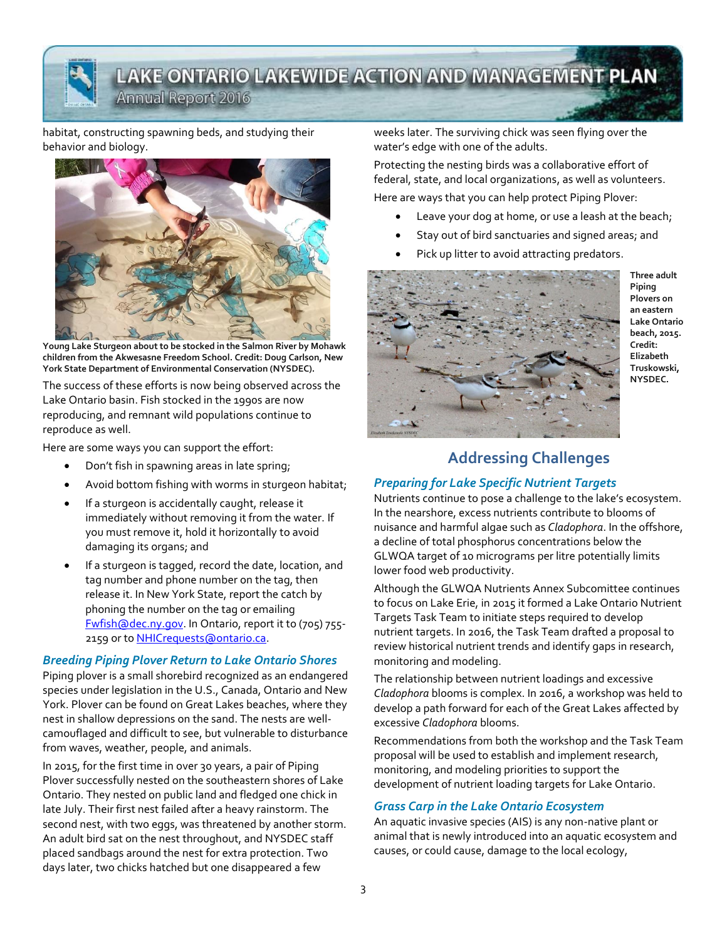# **LAKE ONTARIO LAKEWIDE ACTION AND MANAGEMENT PLAN**

Annual Report 2016

#### habitat, constructing spawning beds, and studying their behavior and biology.



**Young Lake Sturgeon about to be stocked in the Salmon River by Mohawk children from the Akwesasne Freedom School. Credit: Doug Carlson, New York State Department of Environmental Conservation (NYSDEC).** 

The success of these efforts is now being observed across the Lake Ontario basin. Fish stocked in the 1990s are now reproducing, and remnant wild populations continue to reproduce as well.

Here are some ways you can support the effort:

- Don't fish in spawning areas in late spring;
- Avoid bottom fishing with worms in sturgeon habitat;
- If a sturgeon is accidentally caught, release it immediately without removing it from the water. If you must remove it, hold it horizontally to avoid damaging its organs; and
- If a sturgeon is tagged, record the date, location, and tag number and phone number on the tag, then release it. In New York State, report the catch by phoning the number on the tag or emailing [Fwfish@dec.ny.gov.](../../../../KaiC/AppData/Local/Microsoft/Windows/KaiC/AppData/Local/Microsoft/Windows/KaiC/AppData/Local/Microsoft/Windows/KaiC/AppData/Local/Microsoft/Windows/KaiC/AppData/Local/Microsoft/Windows/Temporary%20Internet%20Files/Content.Outlook/FSKT14FT/Fwfish@dec.ny.gov) In Ontario, report it to (705) 755- 2159 or to **NHICrequests** @ontario.ca.

### *Breeding Piping Plover Return to Lake Ontario Shores*

Piping plover is a small shorebird recognized as an endangered species under legislation in the U.S., Canada, Ontario and New York. Plover can be found on Great Lakes beaches, where they nest in shallow depressions on the sand. The nests are wellcamouflaged and difficult to see, but vulnerable to disturbance from waves, weather, people, and animals.

In 2015, for the first time in over 30 years, a pair of Piping Plover successfully nested on the southeastern shores of Lake Ontario. They nested on public land and fledged one chick in late July. Their first nest failed after a heavy rainstorm. The second nest, with two eggs, was threatened by another storm. An adult bird sat on the nest throughout, and NYSDEC staff placed sandbags around the nest for extra protection. Two days later, two chicks hatched but one disappeared a few

weeks later. The surviving chick was seen flying over the water's edge with one of the adults.

Protecting the nesting birds was a collaborative effort of federal, state, and local organizations, as well as volunteers.

Here are ways that you can help protect Piping Plover:

- Leave your dog at home, or use a leash at the beach;
- Stay out of bird sanctuaries and signed areas; and
- Pick up litter to avoid attracting predators.



**Three adult Piping Plovers on an eastern Lake Ontario beach, 2015. Credit: Elizabeth Truskowski, NYSDEC.**

# **Addressing Challenges**

### *Preparing for Lake Specific Nutrient Targets*

Nutrients continue to pose a challenge to the lake's ecosystem. In the nearshore, excess nutrients contribute to blooms of nuisance and harmful algae such as *Cladophora*. In the offshore, a decline of total phosphorus concentrations below the GLWQA target of 10 micrograms per litre potentially limits lower food web productivity.

Although the GLWQA Nutrients Annex Subcomittee continues to focus on Lake Erie, in 2015 it formed a Lake Ontario Nutrient Targets Task Team to initiate steps required to develop nutrient targets. In 2016, the Task Team drafted a proposal to review historical nutrient trends and identify gaps in research, monitoring and modeling.

The relationship between nutrient loadings and excessive *Cladophora* blooms is complex. In 2016, a workshop was held to develop a path forward for each of the Great Lakes affected by excessive *Cladophora* blooms.

Recommendations from both the workshop and the Task Team proposal will be used to establish and implement research, monitoring, and modeling priorities to support the development of nutrient loading targets for Lake Ontario.

### *Grass Carp in the Lake Ontario Ecosystem*

An aquatic invasive species (AIS) is any non-native plant or animal that is newly introduced into an aquatic ecosystem and causes, or could cause, damage to the local ecology,